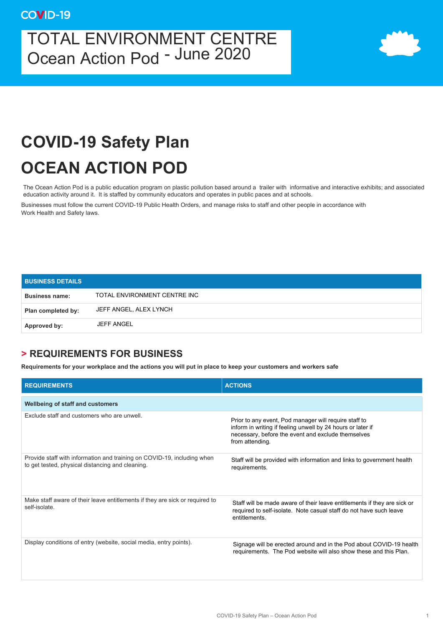## TOTAL ENVIRONMENT CENTRE Ocean Action Pod - June 2020



## **COVID-19 Safety Plan OCEAN ACTION POD**

The Ocean Action Pod is a public education program on plastic pollution based around a trailer with informative and interactive exhibits; and associated education activity around it. It is staffed by community educators and operates in public paces and at schools.

Businesses must follow the current COVID-19 Public Health Orders, and manage risks to staff and other people in accordance with Work Health and Safety laws.

| <b>BUSINESS DETAILS</b> |                              |
|-------------------------|------------------------------|
| <b>Business name:</b>   | TOTAL ENVIRONMENT CENTRE INC |
| Plan completed by:      | JEFF ANGEL, ALEX LYNCH       |
| Approved by:            | <b>JEFF ANGEL</b>            |

## **> REQUIREMENTS FOR BUSINESS**

**Requirements for your workplace and the actions you will put in place to keep your customers and workers safe** 

| <b>REQUIREMENTS</b>                                                                                                         | <b>ACTIONS</b>                                                                                                                                                                                |
|-----------------------------------------------------------------------------------------------------------------------------|-----------------------------------------------------------------------------------------------------------------------------------------------------------------------------------------------|
| Wellbeing of staff and customers                                                                                            |                                                                                                                                                                                               |
| Exclude staff and customers who are unwell                                                                                  | Prior to any event, Pod manager will require staff to<br>inform in writing if feeling unwell by 24 hours or later if<br>necessary, before the event and exclude themselves<br>from attending. |
| Provide staff with information and training on COVID-19, including when<br>to get tested, physical distancing and cleaning. | Staff will be provided with information and links to government health<br>requirements.                                                                                                       |
| Make staff aware of their leave entitlements if they are sick or required to<br>self-isolate.                               | Staff will be made aware of their leave entitlements if they are sick or<br>required to self-isolate. Note casual staff do not have such leave<br>entitlements                                |
| Display conditions of entry (website, social media, entry points).                                                          | Signage will be erected around and in the Pod about COVID-19 health<br>requirements. The Pod website will also show these and this Plan.                                                      |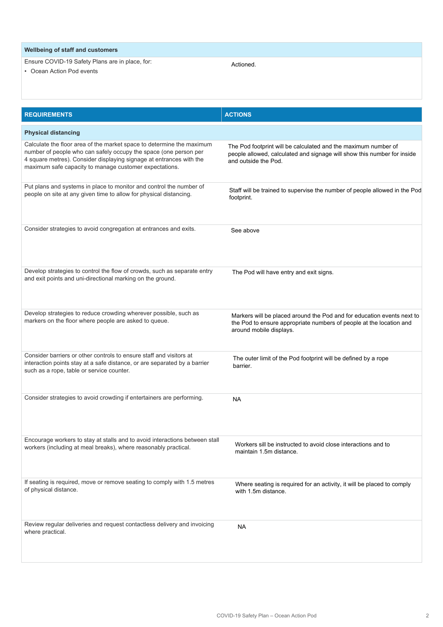## **Wellbeing of staff and customers** Ensure COVID-19 Safety Plans are in place, for: • Ocean Action Pod events Actioned.

| <b>REQUIREMENTS</b>                                                                                                                                                                                                                                                        | <b>ACTIONS</b>                                                                                                                                                           |
|----------------------------------------------------------------------------------------------------------------------------------------------------------------------------------------------------------------------------------------------------------------------------|--------------------------------------------------------------------------------------------------------------------------------------------------------------------------|
| <b>Physical distancing</b>                                                                                                                                                                                                                                                 |                                                                                                                                                                          |
| Calculate the floor area of the market space to determine the maximum<br>number of people who can safely occupy the space (one person per<br>4 square metres). Consider displaying signage at entrances with the<br>maximum safe capacity to manage customer expectations. | The Pod footprint will be calculated and the maximum number of<br>people allowed, calculated and signage will show this number for inside<br>and outside the Pod.        |
| Put plans and systems in place to monitor and control the number of<br>people on site at any given time to allow for physical distancing.                                                                                                                                  | Staff will be trained to supervise the number of people allowed in the Pod<br>footprint.                                                                                 |
| Consider strategies to avoid congregation at entrances and exits.                                                                                                                                                                                                          | See above                                                                                                                                                                |
| Develop strategies to control the flow of crowds, such as separate entry<br>and exit points and uni-directional marking on the ground.                                                                                                                                     | The Pod will have entry and exit signs.                                                                                                                                  |
| Develop strategies to reduce crowding wherever possible, such as<br>markers on the floor where people are asked to queue.                                                                                                                                                  | Markers will be placed around the Pod and for education events next to<br>the Pod to ensure appropriate numbers of people at the location and<br>around mobile displays. |
| Consider barriers or other controls to ensure staff and visitors at<br>interaction points stay at a safe distance, or are separated by a barrier<br>such as a rope, table or service counter.                                                                              | The outer limit of the Pod footprint will be defined by a rope<br>barrier.                                                                                               |
| Consider strategies to avoid crowding if entertainers are performing.                                                                                                                                                                                                      | <b>NA</b>                                                                                                                                                                |
| Encourage workers to stay at stalls and to avoid interactions between stall<br>workers (including at meal breaks), where reasonably practical.                                                                                                                             | Workers sill be instructed to avoid close interactions and to<br>maintain 1.5m distance.                                                                                 |
| If seating is required, move or remove seating to comply with 1.5 metres<br>of physical distance.                                                                                                                                                                          | Where seating is required for an activity, it will be placed to comply<br>with 1.5m distance.                                                                            |
| Review regular deliveries and request contactless delivery and invoicing<br>where practical.                                                                                                                                                                               | <b>NA</b>                                                                                                                                                                |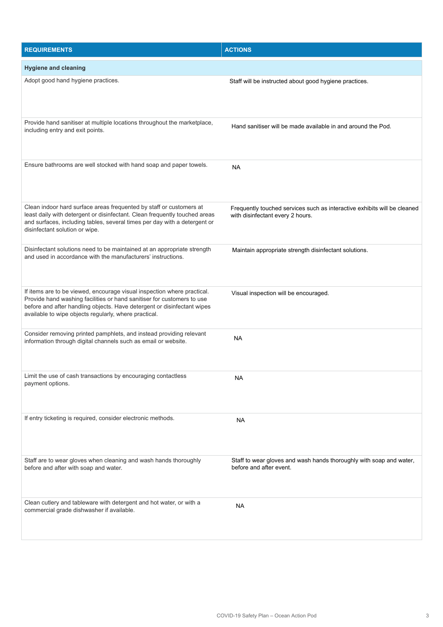| <b>REQUIREMENTS</b>                                                                                                                                                                                                                                                                   | <b>ACTIONS</b>                                                                                               |
|---------------------------------------------------------------------------------------------------------------------------------------------------------------------------------------------------------------------------------------------------------------------------------------|--------------------------------------------------------------------------------------------------------------|
| <b>Hygiene and cleaning</b>                                                                                                                                                                                                                                                           |                                                                                                              |
| Adopt good hand hygiene practices.                                                                                                                                                                                                                                                    | Staff will be instructed about good hygiene practices.                                                       |
| Provide hand sanitiser at multiple locations throughout the marketplace,<br>including entry and exit points.                                                                                                                                                                          | Hand sanitiser will be made available in and around the Pod.                                                 |
| Ensure bathrooms are well stocked with hand soap and paper towels.                                                                                                                                                                                                                    | <b>NA</b>                                                                                                    |
| Clean indoor hard surface areas frequented by staff or customers at<br>least daily with detergent or disinfectant. Clean frequently touched areas<br>and surfaces, including tables, several times per day with a detergent or<br>disinfectant solution or wipe.                      | Frequently touched services such as interactive exhibits will be cleaned<br>with disinfectant every 2 hours. |
| Disinfectant solutions need to be maintained at an appropriate strength<br>and used in accordance with the manufacturers' instructions.                                                                                                                                               | Maintain appropriate strength disinfectant solutions.                                                        |
| If items are to be viewed, encourage visual inspection where practical.<br>Provide hand washing facilities or hand sanitiser for customers to use<br>before and after handling objects. Have detergent or disinfectant wipes<br>available to wipe objects regularly, where practical. | Visual inspection will be encouraged.                                                                        |
| Consider removing printed pamphlets, and instead providing relevant<br>information through digital channels such as email or website.                                                                                                                                                 | <b>NA</b>                                                                                                    |
| Limit the use of cash transactions by encouraging contactless<br>payment options.                                                                                                                                                                                                     | NA                                                                                                           |
| If entry ticketing is required, consider electronic methods.                                                                                                                                                                                                                          | <b>NA</b>                                                                                                    |
| Staff are to wear gloves when cleaning and wash hands thoroughly<br>before and after with soap and water.                                                                                                                                                                             | Staff to wear gloves and wash hands thoroughly with soap and water,<br>before and after event.               |
| Clean cutlery and tableware with detergent and hot water, or with a<br>commercial grade dishwasher if available.                                                                                                                                                                      | <b>NA</b>                                                                                                    |